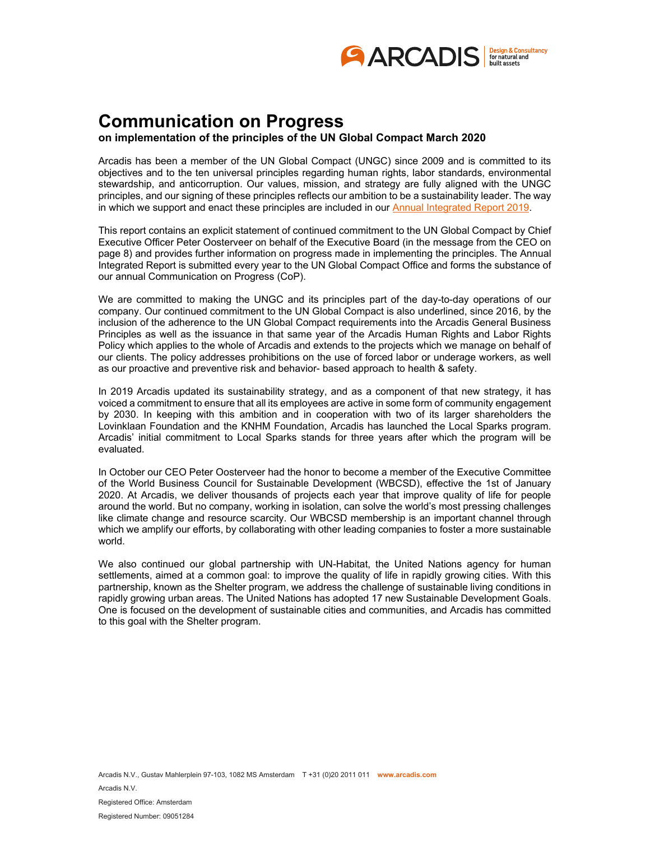

## **Communication on Progress**

**on implementation of the principles of the UN Global Compact March 2020** 

Arcadis has been a member of the UN Global Compact (UNGC) since 2009 and is committed to its objectives and to the ten universal principles regarding human rights, labor standards, environmental stewardship, and anticorruption. Our values, mission, and strategy are fully aligned with the UNGC principles, and our signing of these principles reflects our ambition to be a sustainability leader. The way in which we support and enact these principles are included in our [Annual Integrated Report 2019.](https://www.arcadis.com/media/C/9/3/%7bC9319928-F9D5-4DB4-B70E-09359714C2C9%7dArcadis%20Integrated%20Annual%20Report%202019.pdf#page=1)

This report contains an explicit statement of continued commitment to the UN Global Compact by Chief Executive Officer Peter Oosterveer on behalf of the Executive Board (in the message from the CEO on page 8) and provides further information on progress made in implementing the principles. The Annual Integrated Report is submitted every year to the UN Global Compact Office and forms the substance of our annual Communication on Progress (CoP).

We are committed to making the UNGC and its principles part of the day-to-day operations of our company. Our continued commitment to the UN Global Compact is also underlined, since 2016, by the inclusion of the adherence to the UN Global Compact requirements into the Arcadis General Business Principles as well as the issuance in that same year of the Arcadis Human Rights and Labor Rights Policy which applies to the whole of Arcadis and extends to the projects which we manage on behalf of our clients. The policy addresses prohibitions on the use of forced labor or underage workers, as well as our proactive and preventive risk and behavior- based approach to health & safety.

In 2019 Arcadis updated its sustainability strategy, and as a component of that new strategy, it has voiced a commitment to ensure that all its employees are active in some form of community engagement by 2030. In keeping with this ambition and in cooperation with two of its larger shareholders the Lovinklaan Foundation and the KNHM Foundation, Arcadis has launched the Local Sparks program. Arcadis' initial commitment to Local Sparks stands for three years after which the program will be evaluated.

In October our CEO Peter Oosterveer had the honor to become a member of the Executive Committee of the World Business Council for Sustainable Development (WBCSD), effective the 1st of January 2020. At Arcadis, we deliver thousands of projects each year that improve quality of life for people around the world. But no company, working in isolation, can solve the world's most pressing challenges like climate change and resource scarcity. Our WBCSD membership is an important channel through which we amplify our efforts, by collaborating with other leading companies to foster a more sustainable world.

We also continued our global partnership with UN-Habitat, the United Nations agency for human settlements, aimed at a common goal: to improve the quality of life in rapidly growing cities. With this partnership, known as the Shelter program, we address the challenge of sustainable living conditions in rapidly growing urban areas. The United Nations has adopted 17 new Sustainable Development Goals. One is focused on the development of sustainable cities and communities, and Arcadis has committed to this goal with the Shelter program.